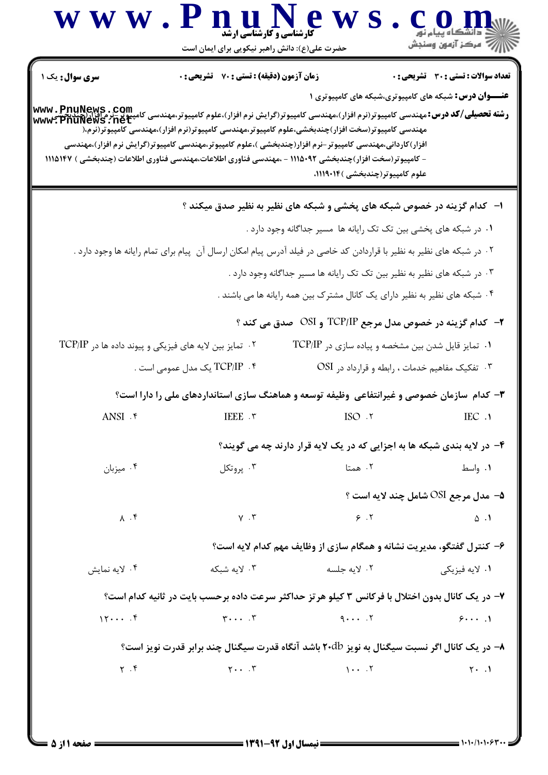| <b>سری سوال :</b> یک ۱                                                         | زمان آزمون (دقیقه) : تستی : 70 گشریحی : 0       |                                                                                                                                                                                                                                    | تعداد سوالات : تستى : 30 ٪ تشريحي : 0      |
|--------------------------------------------------------------------------------|-------------------------------------------------|------------------------------------------------------------------------------------------------------------------------------------------------------------------------------------------------------------------------------------|--------------------------------------------|
|                                                                                |                                                 | <b>عنـــوان درس:</b> شبکه های کامپیوتری،شبکه های کامپیوتری ۱<br><b>رشته تحصیلی/کد درس:</b> مهندسی کامپیوتر(نرم افزار)،مهندسی کامپیوتر(گرایش نرم افزار)،علوم کامپیوتر،مهندسی کامپیوتر-نرم افزار(چندنچس<br><b>www: PnuNews : net</b> |                                            |
|                                                                                |                                                 | مهندسی کامپیوتر(سخت افزار)چندبخشی،علوم کامپیوتر،مهندسی کامپیوتر(نرم افزار)،مهندسی کامپیوتر(نرم،(                                                                                                                                   |                                            |
|                                                                                |                                                 | افزار)کاردانی،مهندسی کامپیوتر -نرم افزار(چندبخشی )،علوم کامپیوتر،مهندسی کامپیوتر(گرایش نرم افزار)،مهندسی                                                                                                                           |                                            |
|                                                                                |                                                 | - کامپیوتر(سخت افزار)چندبخشی ۱۱۱۵۰۹۲ - ،مهندسی فناوری اطلاعات،مهندسی فناوری اطلاعات (چندبخشی ) ۱۱۱۵۱۴۷<br>علوم كامپيوتر(چندبخشى )۱۱۹۰۱۴،                                                                                           |                                            |
|                                                                                |                                                 |                                                                                                                                                                                                                                    |                                            |
|                                                                                |                                                 | ا- کدام گزینه در خصوص شبکه های پخشی و شبکه های نظیر به نظیر صدق میکند ؟                                                                                                                                                            |                                            |
|                                                                                |                                                 | ۰۱ در شبکه های پخشی بین تک تک رایانه ها مسیر جداگانه وجود دارد .                                                                                                                                                                   |                                            |
|                                                                                |                                                 | <sup>۲</sup> ۰ در شبکه های نظیر به نظیر با قراردادن کد خاصی در فیلد آدرس پیام امکان ارسال آن  پیام برای تمام رایانه ها وجود دارد .                                                                                                 |                                            |
|                                                                                |                                                 | ۰۳ در شبکه های نظیر به نظیر بین تک تک رایانه ها مسیر جداگانه وجود دارد .                                                                                                                                                           |                                            |
|                                                                                |                                                 | ۰۴ شبکه های نظیر به نظیر دارای یک کانال مشترک بین همه رایانه ها می باشند .                                                                                                                                                         |                                            |
|                                                                                |                                                 | ۲- کدام گزینه در خصوص مدل مرجع TCP/IP و OSI صدق می کند ؟                                                                                                                                                                           |                                            |
| $\text{TCP/IP}$ . تمایز بین لایه های فیزیکی و پیوند داده ها در $\text{TCP/IP}$ |                                                 | ۰۱ تمایز قایل شدن بین مشخصه و پیاده سازی در TCP/IP                                                                                                                                                                                 |                                            |
|                                                                                | ۲ . TCP/IP یک مدل عمومی است .                   | ۰۳ تفکیک مفاهیم خدمات ، رابطه و قرارداد در OSI                                                                                                                                                                                     |                                            |
|                                                                                |                                                 | ۳- کدام ًسازمان خصوصی و غیرانتفاعی وظیفه توسعه و هماهنگ سازی استانداردهای ملی را دارا است؟                                                                                                                                         |                                            |
| ANSI . F                                                                       | IEEE . ۳                                        | $ISO$ . $\tau$                                                                                                                                                                                                                     | IEC .                                      |
|                                                                                |                                                 |                                                                                                                                                                                                                                    |                                            |
|                                                                                |                                                 | ۴- در لایه بندی شبکه ها به اجزایی که در یک لایه قرار دارند چه می گویند؟                                                                                                                                                            |                                            |
| ۰۴ میزبان                                                                      | ۰۳ پروتکل                                       | ۰۲ همتا                                                                                                                                                                                                                            | ۰۱ واسط                                    |
|                                                                                |                                                 |                                                                                                                                                                                                                                    | <b>۵- مدل مرجع OSI شامل چند لایه است ؟</b> |
| $\lambda$ . $\zeta$                                                            | $Y \cdot Y$                                     | 9.7                                                                                                                                                                                                                                | $\Delta$ .                                 |
|                                                                                |                                                 | ۶- کنترل گفتگو، مدیریت نشانه و همگام سازی از وظایف مهم کدام لایه است؟                                                                                                                                                              |                                            |
| ۰۴ لايه نمايش                                                                  | ۰۳ لايه شبكه                                    | ۰۲ لايه جلسه                                                                                                                                                                                                                       | ۰۱ لايه فيزيكي                             |
|                                                                                |                                                 | ۷- در یک کانال بدون اختلال با فرکانس ۳ کیلو هرتز حداکثر سرعت داده برحسب بایت در ثانیه کدام است؟                                                                                                                                    |                                            |
| 15                                                                             | $\mathbf{r} \cdot \cdot \cdot \cdot \mathbf{r}$ | $9 \cdots$ . $7$                                                                                                                                                                                                                   | 91                                         |
|                                                                                |                                                 | ۸- در یک کانال اگر نسبت سیگنال به نویز ۲۰db باشد آنگاه قدرت سیگنال چند برابر قدرت نویز است؟                                                                                                                                        |                                            |
| $\gamma$ . $\gamma$                                                            | $Y \cdot \cdot \cdot Y$                         | $1 \cdot \cdot \cdot \cdot$                                                                                                                                                                                                        | $Y \cdot .1$                               |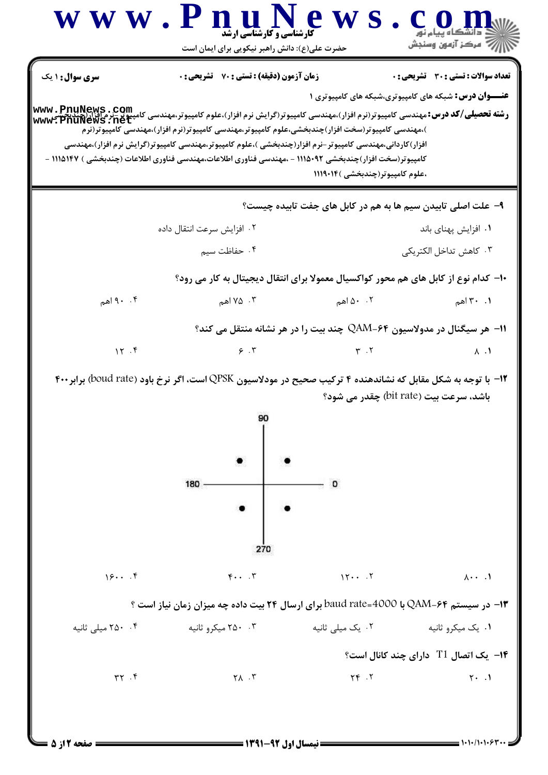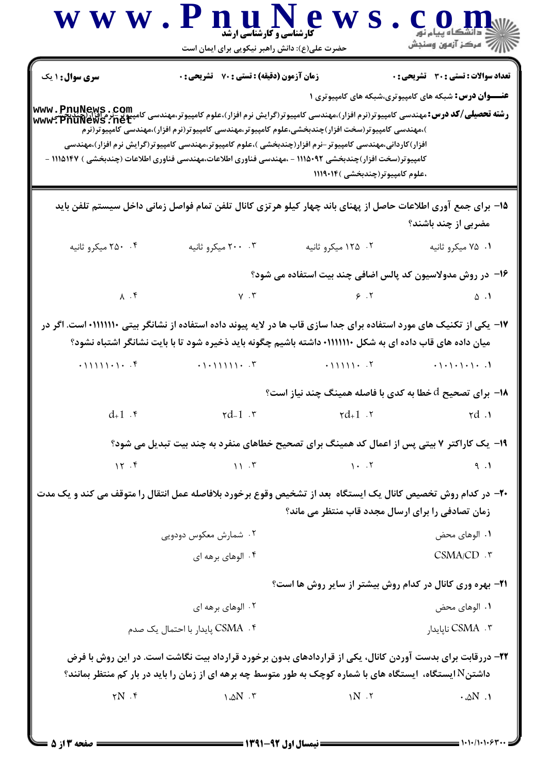|                           |                                                                                                                                                                                                              | حضرت علی(ع): دانش راهبر نیکویی برای ایمان است                   |                                                               |
|---------------------------|--------------------------------------------------------------------------------------------------------------------------------------------------------------------------------------------------------------|-----------------------------------------------------------------|---------------------------------------------------------------|
| <b>سری سوال : ۱ یک</b>    | <b>زمان آزمون (دقیقه) : تستی : 70 قشریحی : 0</b>                                                                                                                                                             |                                                                 | تعداد سوالات : تستي : 30 ٪ تشريحي : 0                         |
|                           |                                                                                                                                                                                                              |                                                                 | <b>عنــــوان درس:</b> شبکه های کامپیوتری،شبکه های کامپیوتری ۱ |
|                           | <b>رشته تحصیلی/کد درس:</b> مهندسی کامپیوتر(نرم افزار)،مهندسی کامپیوتر(گرایش نرم افزار)،علوم کامپیوتر،مهندسی کامپیوتر-نرم افزار(چندنچس<br><b>www: PnuNews : net</b>                                           |                                                                 |                                                               |
|                           | )،مهندسی کامپیوتر(سخت افزار)چندبخشی،علوم کامپیوتر،مهندسی کامپیوتر(نرم افزار)،مهندسی کامپیوتر(نرم<br>افزار)کاردانی،مهندسی کامپیوتر –نرم افزار(چندبخشی )،علوم کامپیوتر،مهندسی کامپیوتر(گرایش نرم افزار)،مهندسی |                                                                 |                                                               |
|                           | کامپیوتر(سخت افزار)چندبخشی ۹۲•۱۱۱۵ - ،مهندسی فناوری اطلاعات،مهندسی فناوری اطلاعات (چندبخشی ) ۱۱۱۵۱۴۷ -                                                                                                       |                                                                 |                                                               |
|                           |                                                                                                                                                                                                              | ،علوم کامپیوتر(چندبخشی )۱۱۹۰۱۴                                  |                                                               |
|                           | ۱۵− برای جمع آوری اطلاعات حاصل از پهنای باند چهار کیلو هرتزی کانال تلفن تمام فواصل زمانی داخل سیستم تلفن باید                                                                                                |                                                                 |                                                               |
|                           |                                                                                                                                                                                                              |                                                                 | مضربی از چند باشند؟                                           |
| ۰۴ میکرو ثانیه            | ۰۳ ۲۰۰ میکرو ثانیه                                                                                                                                                                                           | ۰۲ ۱۲۵ میکرو ثانیه                                              | ۰۱ ۷۵ میکرو ثانیه                                             |
|                           |                                                                                                                                                                                                              | ۱۶– در روش مدولاسیون کد پالس اضافی چند بیت استفاده می شود؟      |                                                               |
| $\lambda$ . $\zeta$       |                                                                                                                                                                                                              | $\gamma$ . T $\gamma$ . T                                       | $\omega$ .                                                    |
|                           | ۱۷– یکی از تکنیک های مورد استفاده برای جدا سازی قاب ها در لایه پیوند داده استفاده از نشانگر بیتی ۱۱۱۱۱۱۰۰است. اگر در                                                                                         |                                                                 |                                                               |
|                           | میان داده های قاب داده ای به شکل ۱۱۱۱۱۱۰ داشته باشیم چگونه باید ذخیره شود تا با بایت نشانگر اشتباه نشود؟                                                                                                     |                                                                 |                                                               |
| .11111.1.7                | .1.11111.77                                                                                                                                                                                                  | $\cdot$ 11111 $\cdot$ . $\cdot$                                 | $\cdot$ \ - \ - \ - \ - \ - \ - \ 1                           |
|                           |                                                                                                                                                                                                              | - اوای تصحیح $d$ خطا به کدی با فاصله همینگ چند نیاز است $\cdot$ |                                                               |
| $d_{+}1$ . $\mathfrak{r}$ | $rd-1$ . $\mathsf{r}$                                                                                                                                                                                        | $\mathsf{rd}_+1$ . $\mathsf{r}$                                 | rd.1                                                          |
|                           | ۱۹- یک کاراکتر ۷ بیتی پس از اعمال کد همینگ برای تصحیح خطاهای منفرد به چند بیت تبدیل می شود؟                                                                                                                  |                                                                 |                                                               |
| 15.5                      | $\mathcal{N}$ . $\mathcal{N}$                                                                                                                                                                                | $\lambda \cdot \lambda$                                         | 9.1                                                           |
|                           | ۲۰- در کدام روش تخصیص کانال یک ایستگاه بعد از تشخیص وقوع برخورد بلافاصله عمل انتقال را متوقف می کند و یک مدت                                                                                                 |                                                                 |                                                               |
|                           |                                                                                                                                                                                                              | زمان تصادفی را برای ارسال مجدد قاب منتظر می ماند؟               |                                                               |
|                           | ۰۲ شمارش معکوس دودویی                                                                                                                                                                                        |                                                                 | ۰۱ الوهای محض                                                 |
|                           | ۰۴ الوهای برهه ای                                                                                                                                                                                            |                                                                 | $CSMA/CD$ . ۳                                                 |
|                           |                                                                                                                                                                                                              | <b>۲۱- بهره وری کانال در کدام روش بیشتر از سایر روش ها است؟</b> |                                                               |
|                           | ۰۲ الوهای برهه ای                                                                                                                                                                                            |                                                                 | ۰۱ الوهای محض                                                 |
|                           | CSMA . ۴ پایدار با احتمال یک صدم                                                                                                                                                                             |                                                                 | تايايدا <sub>د</sub> CSMA تايايدار                            |
|                           | ۲۲– دررقابت برای بدست آوردن کانال، یکی از قراردادهای بدون برخورد قرارداد بیت نگاشت است. در این روش با فرض                                                                                                    |                                                                 |                                                               |
|                           | داشتنNایستگاه، ایستگاه های با شماره کوچک به طور متوسط چه برهه ای از زمان را باید در بار کم منتظر بمانند؟                                                                                                     |                                                                 |                                                               |
|                           |                                                                                                                                                                                                              |                                                                 |                                                               |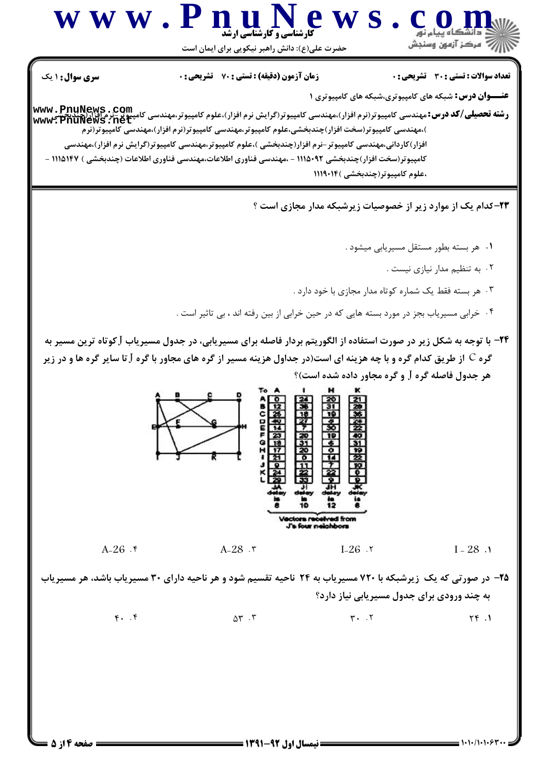